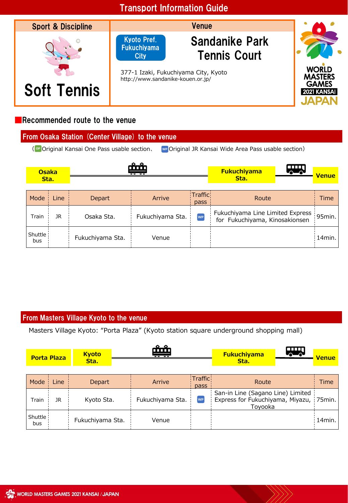

#### ■Recommended route to the venue

| From Osaka Station (Center Village) to the venue                                                     |                      |      |                  |                  |                 |                                                                    |              |
|------------------------------------------------------------------------------------------------------|----------------------|------|------------------|------------------|-----------------|--------------------------------------------------------------------|--------------|
| (or Original Kansai One Pass usable section,<br>we Original JR Kansai Wide Area Pass usable section) |                      |      |                  |                  |                 |                                                                    |              |
|                                                                                                      | <b>Osaka</b><br>Sta. |      | <u>ہ ہ</u><br>ሙ  |                  |                 | <b>Fukuchiyama</b><br>ക<br>Sta.                                    | <b>Venue</b> |
|                                                                                                      | Mode                 | Line | Depart           | Arrive           | Traffic<br>pass | Route                                                              | Time         |
|                                                                                                      | Train                | 1R   | Osaka Sta.       | Fukuchiyama Sta. | wP              | Fukuchiyama Line Limited Express<br>for Fukuchiyama, Kinosakionsen | 95min.       |
|                                                                                                      | Shuttle !<br>bus     |      | Fukuchiyama Sta. | Venue            |                 |                                                                    | 14min.       |

#### From Masters Village Kyoto to the venue

Masters Village Kyoto: "Porta Plaza" (Kyoto station square underground shopping mall)

|                | <b>Porta Plaza</b> | <b>Kyoto</b><br>Sta. | <u>n în în</u><br><del> </del> |                 | <b>Fukuchiyama</b><br>Sta.                                                              | <b>SHAR</b> | <b>Venue</b> |
|----------------|--------------------|----------------------|--------------------------------|-----------------|-----------------------------------------------------------------------------------------|-------------|--------------|
| Mode           | Line               | <b>Depart</b>        | Arrive                         | Traffic<br>pass | Route                                                                                   |             | Time         |
| Train          | JR.                | Kyoto Sta.           | Fukuchiyama Sta.               | <b>WP</b>       | San-in Line (Sagano Line) Limited<br>Express for Fukuchiyama, Miyazu, 75min.<br>Toyooka |             |              |
| Shuttle<br>bus |                    | Fukuchiyama Sta.     | Venue                          |                 |                                                                                         |             | 14min.       |